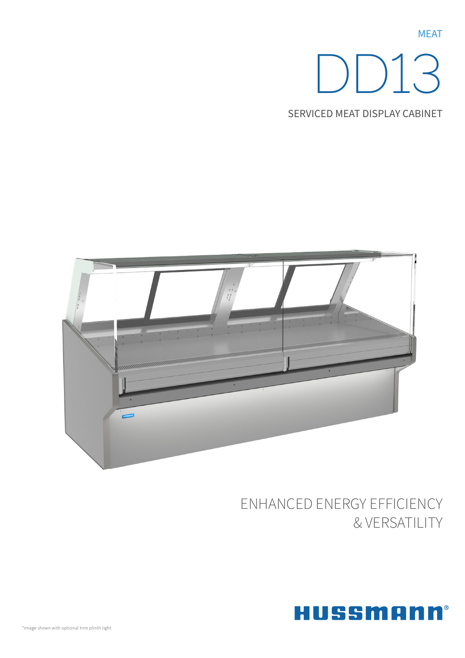**MEAT** 

# DD13

Serviced Meat Display Cabinet



## ENHANCED ENERGY EFFICIENCY & VERSATILITY